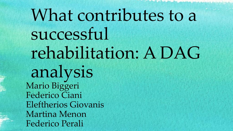# What contributes to a successful rehabilitation: A DAG analysis Mario Biggeri Federico Ciani Eleftherios Giovanis Martina Menon Federico Perali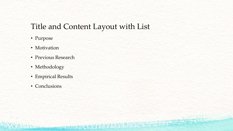#### Title and Content Layout with List

hler transported the component of the state of the state

**MENSON** 

- Purpose
- Motivation
- Previous Research
- Methodology
- Empirical Results
- Conclusions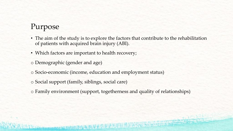#### Purpose

- The aim of the study is to explore the factors that contribute to the rehabilitation of patients with acquired brain injury (ABI).
- Which factors are important to health recovery;
- o Demographic (gender and age)
- o Socio-economic (income, education and employment status)
- o Social support (family, siblings, social care)

**No has a considered by a special considerable of the constant of the constant of the constant of the constant of the constant of the constant of the constant of the constant of the constant of the constant of the constant** 

o Family environment (support, togetherness and quality of relationships)

**3555 COLUMN**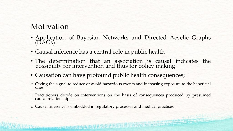#### Motivation

- Application of Bayesian Networks and Directed Acyclic Graphs (DAGs)
- Causal inference has a central role in public health
- The determination that an association is causal indicates the possibility for intervention and thus for policy making
- Causation can have profound public health consequences;
- o Giving the signal to reduce or avoid hazardous events and increasing exposure to the beneficial ones
- o Practitioners decide on interventions on the basis of consequences produced by presumed causal relationships
- o Causal inference is embedded in regulatory processes and medical practises

I Charles and the Secret Control of the Secret Control of the Secret Control of the Secret Control of the Secret Control of the Secret Control of the Secret Control of the Secret Control of the Secret Control of the Secret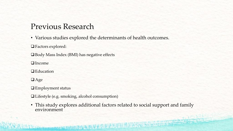#### Previous Research

• Various studies explored the determinants of health outcomes.

Factors explored:

Body Mass Index (BMI) has negative effects

□ Income

**□** Education

**O**Age

Employment status

Lifestyle (e.g. smoking, alcohol consumption)

1000 methods and station of the AM & O & O A

• This study explores additional factors related to social support and family environment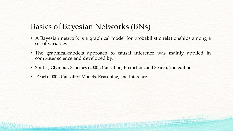#### Basics of Bayesian Networks (BNs)

- A Bayesian network is a graphical model for probabilistic relationships among a set of variables
- The graphical-models approach to causal inference was mainly applied in computer science and developed by:

**BOOK STATES CONTROL** 

- Spirtes, Glymour, Scheines (2000), Causation, Prediction, and Search, 2nd edition.
- Pearl (2000), Causality: Models, Reasoning, and Inference.

high produce a company of the state of the state of the state of the state of the state of the state of the state of the state of the state of the state of the state of the state of the state of the state of the state of t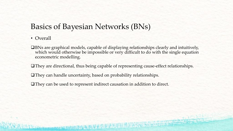#### Basics of Bayesian Networks (BNs)

• Overall

BNs are graphical models, capable of displaying relationships clearly and intuitively, which would otherwise be impossible or very difficult to do with the single equation econometric modelling.

**PERMIT AND ADDRESS** 

- They are directional, thus being capable of representing cause-effect relationships.
- They can handle uncertainty, based on probability relationships.

**I City homegage and budgetted report of the state** 

They can be used to represent indirect causation in addition to direct.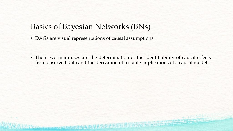#### Basics of Bayesian Networks (BNs)

• DAGs are visual representations of causal assumptions

**City breakday and a back the resident of the state** 

• Their two main uses are the determination of the identifiability of causal effects from observed data and the derivation of testable implications of a causal model.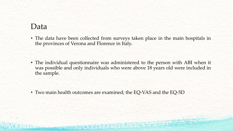#### Data

• The data have been collected from surveys taken place in the main hospitals in the provinces of Verona and Florence in Italy.

• The individual questionnaire was administered to the person with ABI when it was possible and only individuals who were above 18 years old were included in the sample.

• Two main health outcomes are examined; the EQ-VAS and the EQ-5D

**BOOK AND A REPORT OF A REAL PROPERTY.**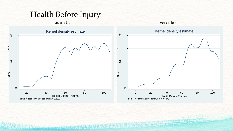## Health Before Injury

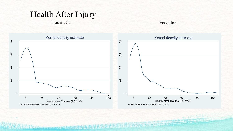## Health After Injury

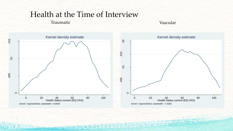#### Health at the Time of Interview

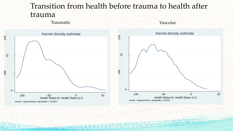#### Transition from health before trauma to health after trauma

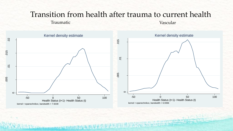#### Transition from health after trauma to current health

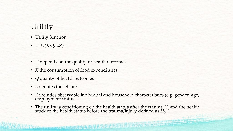## **Utility**

- Utility function
- $\bullet$  U=U(X,Q,L;Z)
- *U* depends on the quality of health outcomes
- *X* the consumption of food expenditures

him the the comment of the comment of the state of the state of the state of the state of the state of the state of

- *Q* quality of health outcomes
- *L* denotes the leisure
- *Ζ* includes observable individual and household characteristics (e.g. gender, age, employment status)
- The utility is conditioning on the health status after the trauma  $H_e$  and the health stock or the health status before the trauma/injury defined as  $H_{0}.$

**BELLEVILLE AND RESERVE**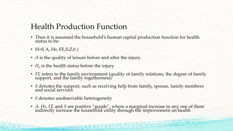#### Health Production Function

- Then it is assumed the household's human capital production function for health status to be:
- H=f( A, H<sub>0</sub>, FE, S; Z,  $\delta$  )
- *A* is the quality of leisure before and after the injury
- $H_0$  is the health status before the injury
- FE refers to the family environment (quality of family relations, the degree of family support, and the family togetherness)
- *S* denotes the support, such as receiving help from family, spouse, family members and social services
- *δ* denotes unobservable heterogeneity

I Chairman and Market Care and the County of the Care and the County of the County of the County of the County of the County of the County of the County of the County of the County of the County of the County of the County

• *A, H0*, *FE* and *S* are positive "goods", where a marginal increase in any one of them indirectly increase the household utility through the improvement on health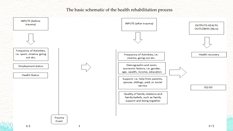#### The basic schematic of the health rehabilitation process

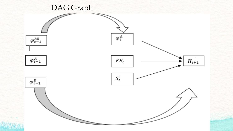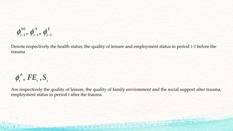$$
\pmb{\phi}^{h0}_{t-1},\,\pmb{\phi}^{A}_{t-1},\,\pmb{\phi}^{E}_{t-1}
$$

Denote respectively the health status, the quality of leisure and employment status in period *t-1* before the trauma

$$
\phi_t^A
$$
,  $FE_t$ ,  $S_t$ 

Are respectively the quality of leisure, the quality of family environment and the social support after trauma, employment status in period *t* after the trauma

**EAThiophone Museum 708/51767 2237788** 

**CONTRACTOR**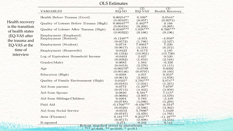|                                       | <b>OLS Estimates</b>                          |                                       |                                      |                                  |
|---------------------------------------|-----------------------------------------------|---------------------------------------|--------------------------------------|----------------------------------|
|                                       | <b>VARIABLES</b>                              | (1)<br>$EQ-5D$                        | (2)<br>EQ-VAS                        | (3)<br><b>Health Recovery</b>    |
|                                       | Health Before Trauma (Good)                   | $0.00254**$                           | $0.106*$                             | $0.0544*$                        |
| Health recovery                       | Quality of Leisure Before Trauma (High)       | (0.00107)<br>$0.00947**$              | (0.057)<br>$0.482**$                 | (0.0274)<br>0.168                |
| is the transition<br>of health states | Quality of Leisure After Trauma (High)        | (0.00418)<br>$0.0249***$<br>(0.00322) | $(0.202)$<br>1.028***<br>(0.166)     | (0.265)<br>$0.708***$<br>(0.196) |
| (EQ-VAS after                         | Employment (Employed)<br>Employment (Retired) | $-0.1248**$                           | $-2.973$                             | $-4.956*$                        |
| the trauma and                        |                                               | (0.0572)                              | (1.786)                              | (2.527)                          |
| EQ-VAS at the                         | Employment (Student)                          | 0.0718<br>(0.0617)                    | $7.8061*$<br>(4.218)                 | 7.220<br>(6.212)                 |
| time of<br>interview                  | Employment (Housewife)                        | $-0.0423$<br>(0.1334)                 | 6.4173<br>(10.901)                   | 4.185<br>(15.730)                |
|                                       | Log of Equivalent Household Income            | $-0.0403$                             | 2.627                                | 0.520                            |
|                                       | Gender(Male)                                  | (0.0382)<br>0.0682                    | (1.853)<br>1.584                     | (2.516)<br>$-0.326$              |
|                                       | Age                                           | (0.0453)<br>$-0.00279*$               | (2.276)<br>$-0.0789$                 | (3.115)<br>0.0392                |
|                                       | Education (High)                              | (0.00146)<br>0.0388                   | (0.0797)<br>4.057                    | (0.103)<br>$9.253*$              |
|                                       | Quality of Family Environment (High)          | (0.0613)<br>$0.0325*$                 | $(3.662)$<br>3.792***                | $(4.858)$<br>3.074**             |
|                                       | Aid from parents                              | (0.0185)<br>0.0772                    | (1.031)<br>$11.29**$                 | (1.315)<br>$7.679*$              |
|                                       | Aid from Spouse                               | (0.0715)<br>0.0820                    | (4.442)<br>$6.591*$                  | (3.959)<br>$7.115*$              |
|                                       | Aid from Siblings-Children                    | (0.0686)<br>0.0264                    | (3.907)<br>5.783                     | (3.570)<br>$-3.439$              |
|                                       | Paid Aid                                      | (0.0748)<br>$-0.1766***$              | $\left( 4.086\right)$<br>$-9.456***$ | (5.294)<br>$-6.554*$             |
|                                       | Aid from Social Service                       | (0.0526)<br>$-0.0553$                 | (2.566)<br>$5.7886*$                 | (3.362)<br>1.5429                |
|                                       | Area (Florence)                               | (0.0747)<br>$0.181***$                | $(3.470)$<br>9.253***                | (4.765)<br>$-11.48***$           |
|                                       | R-squared                                     | (0.0517)<br>0.271                     | (2.608)<br>0.242                     | (3.554)<br>0.141                 |

Robust standard errors in parentheses<br>\*\*\*  $p<0.01$ , \*\*  $p<0.05$ , \*  $p<0.1$ 

**Real Printing Avenue Com**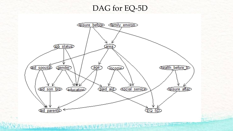#### DAG for EQ-5D



的复数分光之光光 **Close American Avenue Second Card**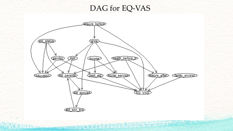#### DAG for EQ-VAS

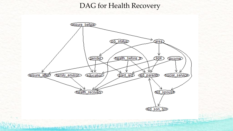#### DAG for Health Recovery